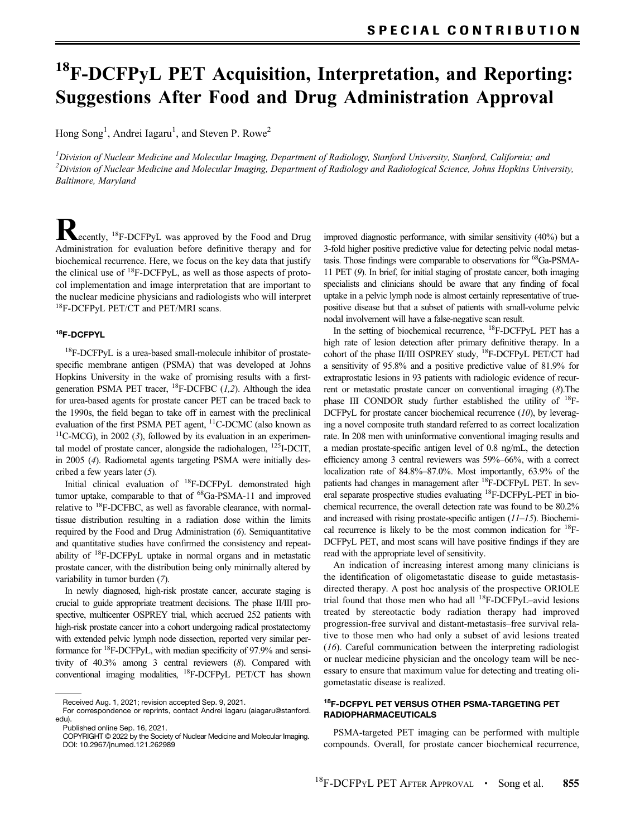# <sup>18</sup>F-DCFPyL PET Acquisition, Interpretation, and Reporting: Suggestions After Food and Drug Administration Approval

Hong Song<sup>1</sup>, Andrei Iagaru<sup>1</sup>, and Steven P. Rowe<sup>2</sup>

 $^l$ Division of Nuclear Medicine and Molecular Imaging, Department of Radiology, Stanford University, Stanford, California; and  $^2$ Division of Nuclear Medicine and Molecular Imaging, Department of Radiology and Radiological Science, Johns Hopkins University, Baltimore, Maryland

**Recently, <sup>18</sup>F-DCFPyL was approved by the Food and Drug** Administration for evaluation before definitive therapy and for biochemical recurrence. Here, we focus on the key data that justify the clinical use of  $^{18}$ F-DCFPyL, as well as those aspects of protocol implementation and image interpretation that are important to the nuclear medicine physicians and radiologists who will interpret 18F-DCFPyL PET/CT and PET/MRI scans.

## 18F-DCFPYL

<sup>18</sup>F-DCFPyL is a urea-based small-molecule inhibitor of prostatespecific membrane antigen (PSMA) that was developed at Johns Hopkins University in the wake of promising results with a firstgeneration PSMA PET tracer,  ${}^{18}$ F-DCFBC ([1,2](#page-3-0)). Although the idea for urea-based agents for prostate cancer PET can be traced back to the 1990s, the field began to take off in earnest with the preclinical evaluation of the first PSMA PET agent, 11C-DCMC (also known as  $11$ C-MCG), in 2002 ([3](#page-3-0)), followed by its evaluation in an experimental model of prostate cancer, alongside the radiohalogen, 125I-DCIT, in 2005 ([4](#page-3-0)). Radiometal agents targeting PSMA were initially described a few years later ([5](#page-3-0)).

Initial clinical evaluation of 18F-DCFPyL demonstrated high tumor uptake, comparable to that of <sup>68</sup>Ga-PSMA-11 and improved relative to 18F-DCFBC, as well as favorable clearance, with normaltissue distribution resulting in a radiation dose within the limits required by the Food and Drug Administration ([6](#page-3-0)). Semiquantitative and quantitative studies have confirmed the consistency and repeatability of 18F-DCFPyL uptake in normal organs and in metastatic prostate cancer, with the distribution being only minimally altered by variability in tumor burden ([7](#page-3-0)).

In newly diagnosed, high-risk prostate cancer, accurate staging is crucial to guide appropriate treatment decisions. The phase II/III prospective, multicenter OSPREY trial, which accrued 252 patients with high-risk prostate cancer into a cohort undergoing radical prostatectomy with extended pelvic lymph node dissection, reported very similar performance for 18F-DCFPyL, with median specificity of 97.9% and sensitivity of 40.3% among 3 central reviewers ([8](#page-3-0)). Compared with conventional imaging modalities, 18F-DCFPyL PET/CT has shown

improved diagnostic performance, with similar sensitivity (40%) but a 3-fold higher positive predictive value for detecting pelvic nodal metastasis. Those findings were comparable to observations for 68Ga-PSMA-11 PET ([9](#page-3-0)). In brief, for initial staging of prostate cancer, both imaging specialists and clinicians should be aware that any finding of focal uptake in a pelvic lymph node is almost certainly representative of truepositive disease but that a subset of patients with small-volume pelvic nodal involvement will have a false-negative scan result.

In the setting of biochemical recurrence, <sup>18</sup>F-DCFPyL PET has a high rate of lesion detection after primary definitive therapy. In a cohort of the phase II/III OSPREY study, <sup>18</sup>F-DCFPyL PET/CT had a sensitivity of 95.8% and a positive predictive value of 81.9% for extraprostatic lesions in 93 patients with radiologic evidence of recurrent or metastatic prostate cancer on conventional imaging ([8](#page-3-0)).The phase III CONDOR study further established the utility of  $^{18}F-$ DCFPyL for prostate cancer biochemical recurrence  $(10)$  $(10)$  $(10)$ , by leveraging a novel composite truth standard referred to as correct localization rate. In 208 men with uninformative conventional imaging results and a median prostate-specific antigen level of 0.8 ng/mL, the detection efficiency among 3 central reviewers was 59%–66%, with a correct localization rate of 84.8%–87.0%. Most importantly, 63.9% of the patients had changes in management after <sup>18</sup>F-DCFPyL PET. In several separate prospective studies evaluating <sup>18</sup>F-DCFPyL-PET in biochemical recurrence, the overall detection rate was found to be 80.2% and increased with rising prostate-specific antigen  $(11-15)$  $(11-15)$  $(11-15)$  $(11-15)$  $(11-15)$ . Biochemical recurrence is likely to be the most common indication for  $^{18}$ F-DCFPyL PET, and most scans will have positive findings if they are read with the appropriate level of sensitivity.

An indication of increasing interest among many clinicians is the identification of oligometastatic disease to guide metastasisdirected therapy. A post hoc analysis of the prospective ORIOLE trial found that those men who had all  $^{18}$ F-DCFPyL-avid lesions treated by stereotactic body radiation therapy had improved progression-free survival and distant-metastasis–free survival relative to those men who had only a subset of avid lesions treated ([16](#page-3-0)). Careful communication between the interpreting radiologist or nuclear medicine physician and the oncology team will be necessary to ensure that maximum value for detecting and treating oligometastatic disease is realized.

#### 18F-DCFPYL PET VERSUS OTHER PSMA-TARGETING PET RADIOPHARMACEUTICALS

PSMA-targeted PET imaging can be performed with multiple compounds. Overall, for prostate cancer biochemical recurrence,

Received Aug. 1, 2021; revision accepted Sep. 9, 2021.

For correspondence or reprints, contact Andrei Iagaru ([aiagaru@stanford.](mailto:aiagaru@stanford.edu) [edu\)](mailto:aiagaru@stanford.edu).

Published online Sep. 16, 2021.

COPYRIGHT © 2022 by the Society of Nuclear Medicine and Molecular Imaging. DOI: [10.2967/jnumed.121.262989](https://doi.org/10.2967/jnumed.121.262989)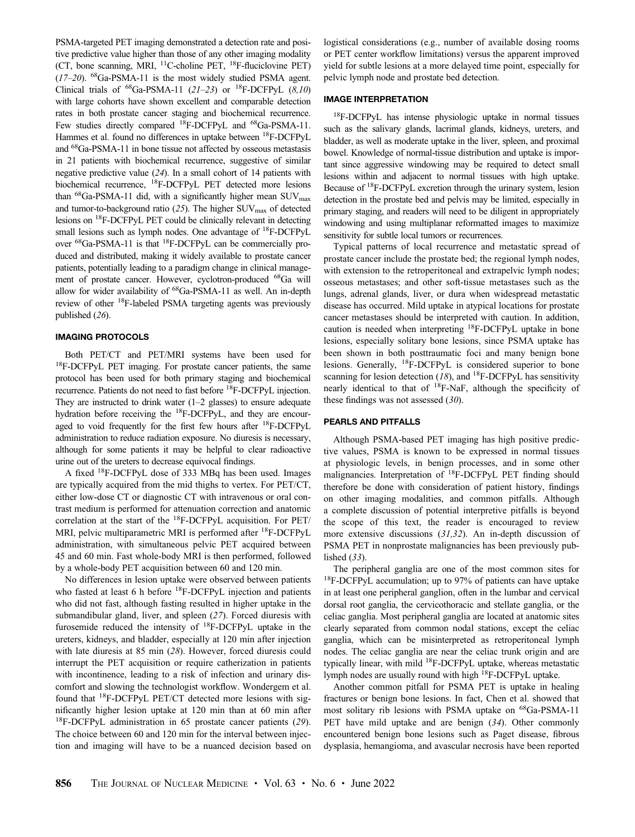PSMA-targeted PET imaging demonstrated a detection rate and positive predictive value higher than those of any other imaging modality (CT, bone scanning, MRI,  $^{11}$ C-choline PET,  $^{18}$ F-fluciclovine PET)  $(17–20)$  $(17–20)$  $(17–20)$  $(17–20)$  $(17–20)$ . <sup>68</sup>Ga-PSMA-11 is the most widely studied PSMA agent. Clinical trials of  ${}^{68}$ Ga-PSMA-11 ([21](#page-3-0)[–](#page-3-0)[23](#page-3-0)) or  ${}^{18}$ F-DCFPyL ([8,10](#page-3-0)) with large cohorts have shown excellent and comparable detection rates in both prostate cancer staging and biochemical recurrence. Few studies directly compared 18F-DCFPyL and 68Ga-PSMA-11. Hammes et al. found no differences in uptake between <sup>18</sup>F-DCFPyL and 68Ga-PSMA-11 in bone tissue not affected by osseous metastasis in 21 patients with biochemical recurrence, suggestive of similar negative predictive value ([24](#page-3-0)). In a small cohort of 14 patients with biochemical recurrence, 18F-DCFPyL PET detected more lesions than  $^{68}$ Ga-PSMA-11 did, with a significantly higher mean SUV<sub>max</sub> and tumor-to-background ratio  $(25)$  $(25)$  $(25)$ . The higher SUV<sub>max</sub> of detected lesions on 18F-DCFPyL PET could be clinically relevant in detecting small lesions such as lymph nodes. One advantage of <sup>18</sup>F-DCFPyL over 68Ga-PSMA-11 is that 18F-DCFPyL can be commercially produced and distributed, making it widely available to prostate cancer patients, potentially leading to a paradigm change in clinical management of prostate cancer. However, cyclotron-produced <sup>68</sup>Ga will allow for wider availability of <sup>68</sup>Ga-PSMA-11 as well. An in-depth review of other 18F-labeled PSMA targeting agents was previously published ([26](#page-3-0)).

### IMAGING PROTOCOLS

Both PET/CT and PET/MRI systems have been used for <sup>18</sup>F-DCFPyL PET imaging. For prostate cancer patients, the same protocol has been used for both primary staging and biochemical recurrence. Patients do not need to fast before 18F-DCFPyL injection. They are instructed to drink water  $(1-2)$  glasses) to ensure adequate hydration before receiving the <sup>18</sup>F-DCFPyL, and they are encouraged to void frequently for the first few hours after <sup>18</sup>F-DCFPyL administration to reduce radiation exposure. No diuresis is necessary, although for some patients it may be helpful to clear radioactive urine out of the ureters to decrease equivocal findings.

A fixed 18F-DCFPyL dose of 333 MBq has been used. Images are typically acquired from the mid thighs to vertex. For PET/CT, either low-dose CT or diagnostic CT with intravenous or oral contrast medium is performed for attenuation correction and anatomic correlation at the start of the 18F-DCFPyL acquisition. For PET/ MRI, pelvic multiparametric MRI is performed after <sup>18</sup>F-DCFPyL administration, with simultaneous pelvic PET acquired between 45 and 60 min. Fast whole-body MRI is then performed, followed by a whole-body PET acquisition between 60 and 120 min.

No differences in lesion uptake were observed between patients who fasted at least 6 h before <sup>18</sup>F-DCFPyL injection and patients who did not fast, although fasting resulted in higher uptake in the submandibular gland, liver, and spleen ([27](#page-3-0)). Forced diuresis with furosemide reduced the intensity of 18F-DCFPyL uptake in the ureters, kidneys, and bladder, especially at 120 min after injection with late diuresis at 85 min ([28](#page-3-0)). However, forced diuresis could interrupt the PET acquisition or require catherization in patients with incontinence, leading to a risk of infection and urinary discomfort and slowing the technologist workflow. Wondergem et al. found that 18F-DCFPyL PET/CT detected more lesions with significantly higher lesion uptake at 120 min than at 60 min after <sup>18</sup>F-DCFPyL administration in 65 prostate cancer patients ([29](#page-4-0)). The choice between 60 and 120 min for the interval between injection and imaging will have to be a nuanced decision based on logistical considerations (e.g., number of available dosing rooms or PET center workflow limitations) versus the apparent improved yield for subtle lesions at a more delayed time point, especially for pelvic lymph node and prostate bed detection.

#### IMAGE INTERPRETATION

18F-DCFPyL has intense physiologic uptake in normal tissues such as the salivary glands, lacrimal glands, kidneys, ureters, and bladder, as well as moderate uptake in the liver, spleen, and proximal bowel. Knowledge of normal-tissue distribution and uptake is important since aggressive windowing may be required to detect small lesions within and adjacent to normal tissues with high uptake. Because of 18F-DCFPyL excretion through the urinary system, lesion detection in the prostate bed and pelvis may be limited, especially in primary staging, and readers will need to be diligent in appropriately windowing and using multiplanar reformatted images to maximize sensitivity for subtle local tumors or recurrences.

Typical patterns of local recurrence and metastatic spread of prostate cancer include the prostate bed; the regional lymph nodes, with extension to the retroperitoneal and extrapelvic lymph nodes; osseous metastases; and other soft-tissue metastases such as the lungs, adrenal glands, liver, or dura when widespread metastatic disease has occurred. Mild uptake in atypical locations for prostate cancer metastases should be interpreted with caution. In addition, caution is needed when interpreting 18F-DCFPyL uptake in bone lesions, especially solitary bone lesions, since PSMA uptake has been shown in both posttraumatic foci and many benign bone lesions. Generally, <sup>18</sup>F-DCFPyL is considered superior to bone scanning for lesion detection ([18](#page-3-0)), and  $^{18}$ F-DCFPyL has sensitivity nearly identical to that of  $^{18}$ F-NaF, although the specificity of these findings was not assessed  $(30)$  $(30)$  $(30)$ .

#### PEARLS AND PITFALLS

Although PSMA-based PET imaging has high positive predictive values, PSMA is known to be expressed in normal tissues at physiologic levels, in benign processes, and in some other malignancies. Interpretation of <sup>18</sup>F-DCFPyL PET finding should therefore be done with consideration of patient history, findings on other imaging modalities, and common pitfalls. Although a complete discussion of potential interpretive pitfalls is beyond the scope of this text, the reader is encouraged to review more extensive discussions ([31](#page-4-0),[32](#page-4-0)). An in-depth discussion of PSMA PET in nonprostate malignancies has been previously published ([33](#page-4-0)).

The peripheral ganglia are one of the most common sites for <sup>18</sup>F-DCFPyL accumulation; up to 97% of patients can have uptake in at least one peripheral ganglion, often in the lumbar and cervical dorsal root ganglia, the cervicothoracic and stellate ganglia, or the celiac ganglia. Most peripheral ganglia are located at anatomic sites clearly separated from common nodal stations, except the celiac ganglia, which can be misinterpreted as retroperitoneal lymph nodes. The celiac ganglia are near the celiac trunk origin and are typically linear, with mild <sup>18</sup>F-DCFPyL uptake, whereas metastatic lymph nodes are usually round with high <sup>18</sup>F-DCFPyL uptake.

Another common pitfall for PSMA PET is uptake in healing fractures or benign bone lesions. In fact, Chen et al. showed that most solitary rib lesions with PSMA uptake on <sup>68</sup>Ga-PSMA-11 PET have mild uptake and are benign ([34](#page-4-0)). Other commonly encountered benign bone lesions such as Paget disease, fibrous dysplasia, hemangioma, and avascular necrosis have been reported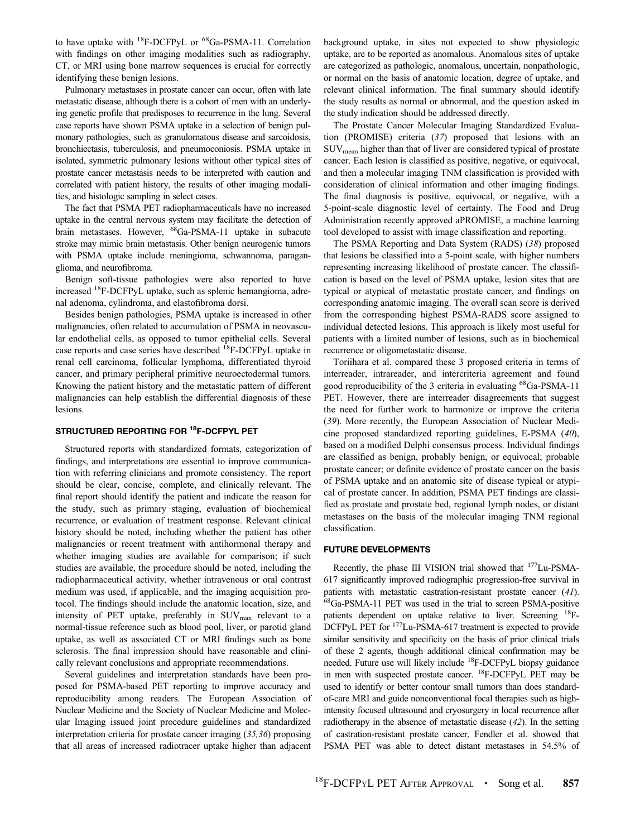to have uptake with 18F-DCFPyL or 68Ga-PSMA-11. Correlation with findings on other imaging modalities such as radiography, CT, or MRI using bone marrow sequences is crucial for correctly identifying these benign lesions.

Pulmonary metastases in prostate cancer can occur, often with late metastatic disease, although there is a cohort of men with an underlying genetic profile that predisposes to recurrence in the lung. Several case reports have shown PSMA uptake in a selection of benign pulmonary pathologies, such as granulomatous disease and sarcoidosis, bronchiectasis, tuberculosis, and pneumoconiosis. PSMA uptake in isolated, symmetric pulmonary lesions without other typical sites of prostate cancer metastasis needs to be interpreted with caution and correlated with patient history, the results of other imaging modalities, and histologic sampling in select cases.

The fact that PSMA PET radiopharmaceuticals have no increased uptake in the central nervous system may facilitate the detection of brain metastases. However, 68Ga-PSMA-11 uptake in subacute stroke may mimic brain metastasis. Other benign neurogenic tumors with PSMA uptake include meningioma, schwannoma, paraganglioma, and neurofibroma.

Benign soft-tissue pathologies were also reported to have increased 18F-DCFPyL uptake, such as splenic hemangioma, adrenal adenoma, cylindroma, and elastofibroma dorsi.

Besides benign pathologies, PSMA uptake is increased in other malignancies, often related to accumulation of PSMA in neovascular endothelial cells, as opposed to tumor epithelial cells. Several case reports and case series have described 18F-DCFPyL uptake in renal cell carcinoma, follicular lymphoma, differentiated thyroid cancer, and primary peripheral primitive neuroectodermal tumors. Knowing the patient history and the metastatic pattern of different malignancies can help establish the differential diagnosis of these lesions.

#### STRUCTURED REPORTING FOR <sup>18</sup>F-DCFPYL PET

Structured reports with standardized formats, categorization of findings, and interpretations are essential to improve communication with referring clinicians and promote consistency. The report should be clear, concise, complete, and clinically relevant. The final report should identify the patient and indicate the reason for the study, such as primary staging, evaluation of biochemical recurrence, or evaluation of treatment response. Relevant clinical history should be noted, including whether the patient has other malignancies or recent treatment with antihormonal therapy and whether imaging studies are available for comparison; if such studies are available, the procedure should be noted, including the radiopharmaceutical activity, whether intravenous or oral contrast medium was used, if applicable, and the imaging acquisition protocol. The findings should include the anatomic location, size, and intensity of PET uptake, preferably in SUV<sub>max</sub> relevant to a normal-tissue reference such as blood pool, liver, or parotid gland uptake, as well as associated CT or MRI findings such as bone sclerosis. The final impression should have reasonable and clinically relevant conclusions and appropriate recommendations.

Several guidelines and interpretation standards have been proposed for PSMA-based PET reporting to improve accuracy and reproducibility among readers. The European Association of Nuclear Medicine and the Society of Nuclear Medicine and Molecular Imaging issued joint procedure guidelines and standardized interpretation criteria for prostate cancer imaging ([35](#page-4-0),[36](#page-4-0)) proposing that all areas of increased radiotracer uptake higher than adjacent

background uptake, in sites not expected to show physiologic uptake, are to be reported as anomalous. Anomalous sites of uptake are categorized as pathologic, anomalous, uncertain, nonpathologic, or normal on the basis of anatomic location, degree of uptake, and relevant clinical information. The final summary should identify the study results as normal or abnormal, and the question asked in the study indication should be addressed directly.

The Prostate Cancer Molecular Imaging Standardized Evaluation (PROMISE) criteria ([37](#page-4-0)) proposed that lesions with an  $\text{SUV}_{\text{mean}}$  higher than that of liver are considered typical of prostate cancer. Each lesion is classified as positive, negative, or equivocal, and then a molecular imaging TNM classification is provided with consideration of clinical information and other imaging findings. The final diagnosis is positive, equivocal, or negative, with a 5-point-scale diagnostic level of certainty. The Food and Drug Administration recently approved aPROMISE, a machine learning tool developed to assist with image classification and reporting.

The PSMA Reporting and Data System (RADS) ([38](#page-4-0)) proposed that lesions be classified into a 5-point scale, with higher numbers representing increasing likelihood of prostate cancer. The classification is based on the level of PSMA uptake, lesion sites that are typical or atypical of metastatic prostate cancer, and findings on corresponding anatomic imaging. The overall scan score is derived from the corresponding highest PSMA-RADS score assigned to individual detected lesions. This approach is likely most useful for patients with a limited number of lesions, such as in biochemical recurrence or oligometastatic disease.

Toriihara et al. compared these 3 proposed criteria in terms of interreader, intrareader, and intercriteria agreement and found good reproducibility of the 3 criteria in evaluating <sup>68</sup>Ga-PSMA-11 PET. However, there are interreader disagreements that suggest the need for further work to harmonize or improve the criteria ([39](#page-4-0)). More recently, the European Association of Nuclear Medicine proposed standardized reporting guidelines, E-PSMA ([40](#page-4-0)), based on a modified Delphi consensus process. Individual findings are classified as benign, probably benign, or equivocal; probable prostate cancer; or definite evidence of prostate cancer on the basis of PSMA uptake and an anatomic site of disease typical or atypical of prostate cancer. In addition, PSMA PET findings are classified as prostate and prostate bed, regional lymph nodes, or distant metastases on the basis of the molecular imaging TNM regional classification.

#### FUTURE DEVELOPMENTS

Recently, the phase III VISION trial showed that 177Lu-PSMA-617 significantly improved radiographic progression-free survival in patients with metastatic castration-resistant prostate cancer ([41](#page-4-0)). 68Ga-PSMA-11 PET was used in the trial to screen PSMA-positive patients dependent on uptake relative to liver. Screening 18F-DCFPyL PET for <sup>177</sup>Lu-PSMA-617 treatment is expected to provide similar sensitivity and specificity on the basis of prior clinical trials of these 2 agents, though additional clinical confirmation may be needed. Future use will likely include <sup>18</sup>F-DCFPyL biopsy guidance in men with suspected prostate cancer. 18F-DCFPyL PET may be used to identify or better contour small tumors than does standardof-care MRI and guide nonconventional focal therapies such as highintensity focused ultrasound and cryosurgery in local recurrence after radiotherapy in the absence of metastatic disease ([42](#page-4-0)). In the setting of castration-resistant prostate cancer, Fendler et al. showed that PSMA PET was able to detect distant metastases in 54.5% of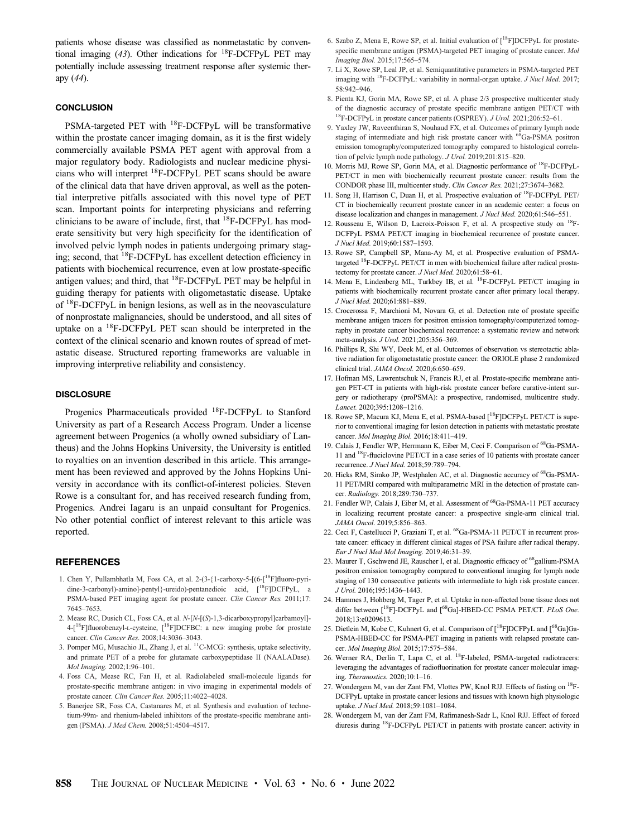<span id="page-3-0"></span>patients whose disease was classified as nonmetastatic by conventional imaging  $(43)$  $(43)$  $(43)$ . Other indications for <sup>18</sup>F-DCFPyL PET may potentially include assessing treatment response after systemic therapy ([44](#page-4-0)).

#### **CONCLUSION**

PSMA-targeted PET with 18F-DCFPyL will be transformative within the prostate cancer imaging domain, as it is the first widely commercially available PSMA PET agent with approval from a major regulatory body. Radiologists and nuclear medicine physicians who will interpret 18F-DCFPyL PET scans should be aware of the clinical data that have driven approval, as well as the potential interpretive pitfalls associated with this novel type of PET scan. Important points for interpreting physicians and referring clinicians to be aware of include, first, that 18F-DCFPyL has moderate sensitivity but very high specificity for the identification of involved pelvic lymph nodes in patients undergoing primary staging; second, that <sup>18</sup>F-DCFPyL has excellent detection efficiency in patients with biochemical recurrence, even at low prostate-specific antigen values; and third, that 18F-DCFPyL PET may be helpful in guiding therapy for patients with oligometastatic disease. Uptake of 18F-DCFPyL in benign lesions, as well as in the neovasculature of nonprostate malignancies, should be understood, and all sites of uptake on a 18F-DCFPyL PET scan should be interpreted in the context of the clinical scenario and known routes of spread of metastatic disease. Structured reporting frameworks are valuable in improving interpretive reliability and consistency.

#### **DISCLOSURE**

Progenics Pharmaceuticals provided 18F-DCFPyL to Stanford University as part of a Research Access Program. Under a license agreement between Progenics (a wholly owned subsidiary of Lantheus) and the Johns Hopkins University, the University is entitled to royalties on an invention described in this article. This arrangement has been reviewed and approved by the Johns Hopkins University in accordance with its conflict-of-interest policies. Steven Rowe is a consultant for, and has received research funding from, Progenics. Andrei Iagaru is an unpaid consultant for Progenics. No other potential conflict of interest relevant to this article was reported.

#### **REFERENCES**

- 1. Chen Y, Pullambhatla M, Foss CA, et al. 2-(3-{1-carboxy-5-[(6-[18F]fluoro-pyridine-3-carbonyl)-amino]-pentyl}-ureido)-pentanedioic acid, [18F]DCFPyL, a PSMA-based PET imaging agent for prostate cancer. Clin Cancer Res. 2011;17: 7645–7653.
- 2. Mease RC, Dusich CL, Foss CA, et al. N-[N-[(S)-1,3-dicarboxypropyl]carbamoyl]-  $4-[18F]$ fluorobenzyl-L-cysteine,  $[18F]$ DCFBC: a new imaging probe for prostate cancer. Clin Cancer Res. 2008;14:3036–3043.
- 3. Pomper MG, Musachio JL, Zhang J, et al. 11C-MCG: synthesis, uptake selectivity, and primate PET of a probe for glutamate carboxypeptidase II (NAALADase). Mol Imaging. 2002;1:96–101.
- 4. Foss CA, Mease RC, Fan H, et al. Radiolabeled small-molecule ligands for prostate-specific membrane antigen: in vivo imaging in experimental models of prostate cancer. Clin Cancer Res. 2005;11:4022–4028.
- 5. Banerjee SR, Foss CA, Castanares M, et al. Synthesis and evaluation of technetium-99m- and rhenium-labeled inhibitors of the prostate-specific membrane antigen (PSMA). J Med Chem. 2008;51:4504-4517.
- 6. Szabo Z, Mena E, Rowe SP, et al. Initial evaluation of [18F]DCFPyL for prostatespecific membrane antigen (PSMA)-targeted PET imaging of prostate cancer. Mol Imaging Biol. 2015;17:565–574.
- 7. Li X, Rowe SP, Leal JP, et al. Semiquantitative parameters in PSMA-targeted PET imaging with <sup>18</sup>F-DCFPyL: variability in normal-organ uptake. *J Nucl Med.* 2017; 58:942–946.
- 8. Pienta KJ, Gorin MA, Rowe SP, et al. A phase 2/3 prospective multicenter study of the diagnostic accuracy of prostate specific membrane antigen PET/CT with  $^{18}$ F-DCFPyL in prostate cancer patients (OSPREY). *J Urol.* 2021;206:52–61.
- 9. Yaxley JW, Raveenthiran S, Nouhaud FX, et al. Outcomes of primary lymph node staging of intermediate and high risk prostate cancer with <sup>68</sup>Ga-PSMA positron emission tomography/computerized tomography compared to histological correlation of pelvic lymph node pathology. J Urol. 2019;201:815–820.
- 10. Morris MJ, Rowe SP, Gorin MA, et al. Diagnostic performance of 18F-DCFPyL-PET/CT in men with biochemically recurrent prostate cancer: results from the CONDOR phase III, multicenter study. Clin Cancer Res. 2021;27:3674–3682.
- 11. Song H, Harrison C, Duan H, et al. Prospective evaluation of 18F-DCFPyL PET/ CT in biochemically recurrent prostate cancer in an academic center: a focus on disease localization and changes in management. J Nucl Med. 2020;61:546–551.
- 12. Rousseau E, Wilson D, Lacroix-Poisson F, et al. A prospective study on 18F-DCFPyL PSMA PET/CT imaging in biochemical recurrence of prostate cancer. J Nucl Med. 2019;60:1587–1593.
- 13. Rowe SP, Campbell SP, Mana-Ay M, et al. Prospective evaluation of PSMAtargeted <sup>18</sup>F-DCFPyL PET/CT in men with biochemical failure after radical prostatectomy for prostate cancer. J Nucl Med. 2020;61:58-61.
- 14. Mena E, Lindenberg ML, Turkbey IB, et al. <sup>18</sup>F-DCFPyL PET/CT imaging in patients with biochemically recurrent prostate cancer after primary local therapy. J Nucl Med. 2020;61:881–889.
- 15. Crocerossa F, Marchioni M, Novara G, et al. Detection rate of prostate specific membrane antigen tracers for positron emission tomography/computerized tomography in prostate cancer biochemical recurrence: a systematic review and network meta-analysis. J Urol. 2021;205:356–369.
- 16. Phillips R, Shi WY, Deek M, et al. Outcomes of observation vs stereotactic ablative radiation for oligometastatic prostate cancer: the ORIOLE phase 2 randomized clinical trial. JAMA Oncol. 2020;6:650–659.
- 17. Hofman MS, Lawrentschuk N, Francis RJ, et al. Prostate-specific membrane antigen PET-CT in patients with high-risk prostate cancer before curative-intent surgery or radiotherapy (proPSMA): a prospective, randomised, multicentre study. Lancet. 2020;395:1208–1216.
- 18. Rowe SP, Macura KJ, Mena E, et al. PSMA-based [<sup>18</sup>F]DCFPyL PET/CT is superior to conventional imaging for lesion detection in patients with metastatic prostate cancer. Mol Imaging Biol. 2016;18:411–419.
- 19. Calais J, Fendler WP, Herrmann K, Eiber M, Ceci F. Comparison of <sup>68</sup>Ga-PSMA-11 and 18F-fluciclovine PET/CT in a case series of 10 patients with prostate cancer recurrence. J Nucl Med. 2018;59:789–794.
- 20. Hicks RM, Simko JP, Westphalen AC, et al. Diagnostic accuracy of <sup>68</sup>Ga-PSMA-11 PET/MRI compared with multiparametric MRI in the detection of prostate cancer. Radiology. 2018;289:730–737.
- 21. Fendler WP, Calais J, Eiber M, et al. Assessment of <sup>68</sup>Ga-PSMA-11 PET accuracy in localizing recurrent prostate cancer: a prospective single-arm clinical trial. JAMA Oncol. 2019;5:856–863.
- 22. Ceci F, Castellucci P, Graziani T, et al. <sup>68</sup>Ga-PSMA-11 PET/CT in recurrent prostate cancer: efficacy in different clinical stages of PSA failure after radical therapy. Eur J Nucl Med Mol Imaging. 2019;46:31–39.
- 23. Maurer T, Gschwend JE, Rauscher I, et al. Diagnostic efficacy of 68gallium-PSMA positron emission tomography compared to conventional imaging for lymph node staging of 130 consecutive patients with intermediate to high risk prostate cancer. J Urol. 2016;195:1436–1443.
- 24. Hammes J, Hohberg M, Tager P, et al. Uptake in non-affected bone tissue does not differ between [<sup>18</sup>F]-DCFPyL and [<sup>68</sup>Ga]-HBED-CC PSMA PET/CT. PLoS One. 2018;13:e0209613.
- 25. Dietlein M, Kobe C, Kuhnert G, et al. Comparison of  $\lceil {^{18}\text{F}} \rceil$ DCFPyL and  $\lceil {^{68}\text{Ga}} \rceil$ GalGa-PSMA-HBED-CC for PSMA-PET imaging in patients with relapsed prostate cancer. Mol Imaging Biol. 2015;17:575–584.
- 26. Werner RA, Derlin T, Lapa C, et al. 18F-labeled, PSMA-targeted radiotracers: leveraging the advantages of radiofluorination for prostate cancer molecular imaging. Theranostics. 2020;10:1–16.
- 27. Wondergem M, van der Zant FM, Vlottes PW, Knol RJJ. Effects of fasting on 18F-DCFPyL uptake in prostate cancer lesions and tissues with known high physiologic uptake. J Nucl Med. 2018;59:1081–1084.
- 28. Wondergem M, van der Zant FM, Rafimanesh-Sadr L, Knol RJJ. Effect of forced diuresis during 18F-DCFPyL PET/CT in patients with prostate cancer: activity in